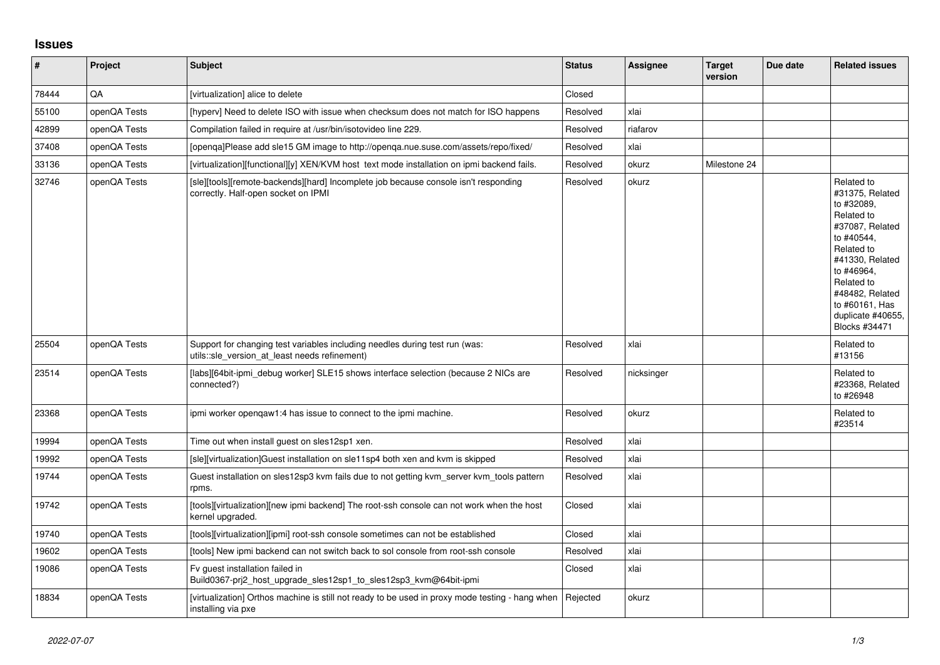## **Issues**

| $\vert$ # | <b>Project</b> | <b>Subject</b>                                                                                                               | <b>Status</b> | <b>Assignee</b> | <b>Target</b><br>version | Due date | <b>Related issues</b>                                                                                                                                                                                                              |
|-----------|----------------|------------------------------------------------------------------------------------------------------------------------------|---------------|-----------------|--------------------------|----------|------------------------------------------------------------------------------------------------------------------------------------------------------------------------------------------------------------------------------------|
| 78444     | QA             | [virtualization] alice to delete                                                                                             | Closed        |                 |                          |          |                                                                                                                                                                                                                                    |
| 55100     | openQA Tests   | [hyperv] Need to delete ISO with issue when checksum does not match for ISO happens                                          | Resolved      | xlai            |                          |          |                                                                                                                                                                                                                                    |
| 42899     | openQA Tests   | Compilation failed in require at /usr/bin/isotovideo line 229.                                                               | Resolved      | riafarov        |                          |          |                                                                                                                                                                                                                                    |
| 37408     | openQA Tests   | [openqa]Please add sle15 GM image to http://openqa.nue.suse.com/assets/repo/fixed/                                           | Resolved      | xlai            |                          |          |                                                                                                                                                                                                                                    |
| 33136     | openQA Tests   | [virtualization][functional][y] XEN/KVM host text mode installation on ipmi backend fails.                                   | Resolved      | okurz           | Milestone 24             |          |                                                                                                                                                                                                                                    |
| 32746     | openQA Tests   | [sle][tools][remote-backends][hard] Incomplete job because console isn't responding<br>correctly. Half-open socket on IPMI   | Resolved      | okurz           |                          |          | Related to<br>#31375, Related<br>to #32089.<br>Related to<br>#37087, Related<br>to #40544,<br>Related to<br>#41330, Related<br>to #46964,<br>Related to<br>#48482. Related<br>to #60161, Has<br>duplicate #40655,<br>Blocks #34471 |
| 25504     | openQA Tests   | Support for changing test variables including needles during test run (was:<br>utils::sle_version_at_least needs refinement) | Resolved      | xlai            |                          |          | Related to<br>#13156                                                                                                                                                                                                               |
| 23514     | openQA Tests   | [labs][64bit-ipmi_debug worker] SLE15 shows interface selection (because 2 NICs are<br>connected?)                           | Resolved      | nicksinger      |                          |          | Related to<br>#23368. Related<br>to #26948                                                                                                                                                                                         |
| 23368     | openQA Tests   | ipmi worker opengaw1:4 has issue to connect to the ipmi machine.                                                             | Resolved      | okurz           |                          |          | Related to<br>#23514                                                                                                                                                                                                               |
| 19994     | openQA Tests   | Time out when install guest on sles12sp1 xen.                                                                                | Resolved      | xlai            |                          |          |                                                                                                                                                                                                                                    |
| 19992     | openQA Tests   | [sle][virtualization]Guest installation on sle11sp4 both xen and kvm is skipped                                              | Resolved      | xlai            |                          |          |                                                                                                                                                                                                                                    |
| 19744     | openQA Tests   | Guest installation on sles12sp3 kvm fails due to not getting kvm_server kvm_tools pattern<br>rpms.                           | Resolved      | xlai            |                          |          |                                                                                                                                                                                                                                    |
| 19742     | openQA Tests   | [tools][virtualization][new ipmi backend] The root-ssh console can not work when the host<br>kernel upgraded.                | Closed        | xlai            |                          |          |                                                                                                                                                                                                                                    |
| 19740     | openQA Tests   | [tools][virtualization][ipmi] root-ssh console sometimes can not be established                                              | Closed        | xlai            |                          |          |                                                                                                                                                                                                                                    |
| 19602     | openQA Tests   | [tools] New ipmi backend can not switch back to sol console from root-ssh console                                            | Resolved      | xlai            |                          |          |                                                                                                                                                                                                                                    |
| 19086     | openQA Tests   | Fv guest installation failed in<br>Build0367-prj2_host_upgrade_sles12sp1_to_sles12sp3_kvm@64bit-ipmi                         | Closed        | xlai            |                          |          |                                                                                                                                                                                                                                    |
| 18834     | openQA Tests   | [virtualization] Orthos machine is still not ready to be used in proxy mode testing - hang when<br>installing via pxe        | Rejected      | okurz           |                          |          |                                                                                                                                                                                                                                    |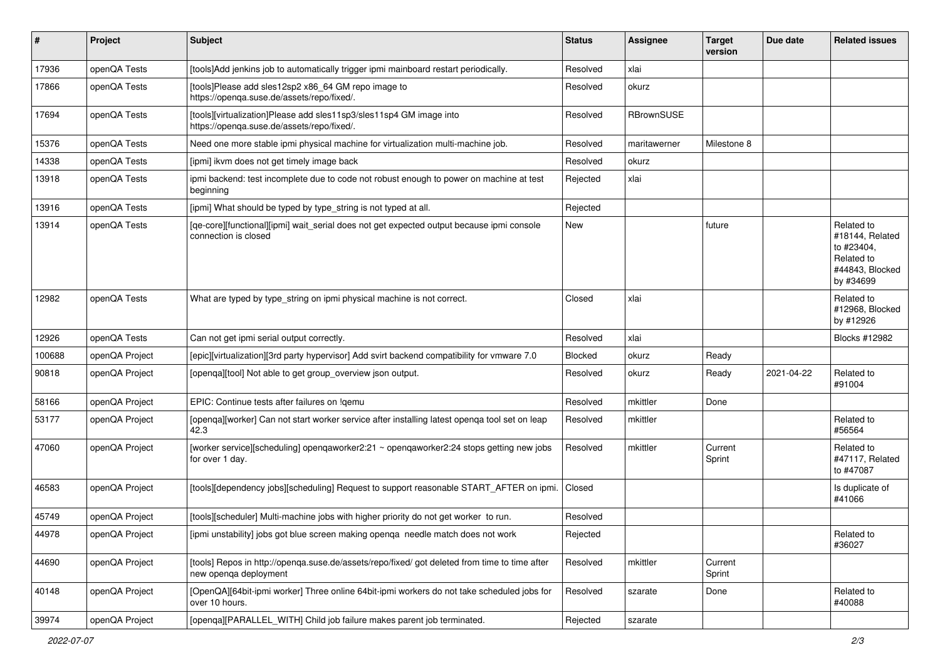| #      | Project        | <b>Subject</b>                                                                                                         | <b>Status</b> | <b>Assignee</b> | <b>Target</b><br>version | Due date   | <b>Related issues</b>                                                                     |
|--------|----------------|------------------------------------------------------------------------------------------------------------------------|---------------|-----------------|--------------------------|------------|-------------------------------------------------------------------------------------------|
| 17936  | openQA Tests   | [tools]Add jenkins job to automatically trigger ipmi mainboard restart periodically.                                   | Resolved      | xlai            |                          |            |                                                                                           |
| 17866  | openQA Tests   | [tools]Please add sles12sp2 x86_64 GM repo image to<br>https://openqa.suse.de/assets/repo/fixed/.                      | Resolved      | okurz           |                          |            |                                                                                           |
| 17694  | openQA Tests   | [tools][virtualization]Please add sles11sp3/sles11sp4 GM image into<br>https://openqa.suse.de/assets/repo/fixed/.      | Resolved      | RBrownSUSE      |                          |            |                                                                                           |
| 15376  | openQA Tests   | Need one more stable ipmi physical machine for virtualization multi-machine job.                                       | Resolved      | maritawerner    | Milestone 8              |            |                                                                                           |
| 14338  | openQA Tests   | [ipmi] ikvm does not get timely image back                                                                             | Resolved      | okurz           |                          |            |                                                                                           |
| 13918  | openQA Tests   | ipmi backend: test incomplete due to code not robust enough to power on machine at test<br>beginning                   | Rejected      | xlai            |                          |            |                                                                                           |
| 13916  | openQA Tests   | [ipmi] What should be typed by type_string is not typed at all.                                                        | Rejected      |                 |                          |            |                                                                                           |
| 13914  | openQA Tests   | [qe-core][functional][ipmi] wait_serial does not get expected output because ipmi console<br>connection is closed      | New           |                 | future                   |            | Related to<br>#18144, Related<br>to #23404,<br>Related to<br>#44843, Blocked<br>by #34699 |
| 12982  | openQA Tests   | What are typed by type_string on ipmi physical machine is not correct.                                                 | Closed        | xlai            |                          |            | Related to<br>#12968, Blocked<br>by #12926                                                |
| 12926  | openQA Tests   | Can not get ipmi serial output correctly.                                                                              | Resolved      | xlai            |                          |            | Blocks #12982                                                                             |
| 100688 | openQA Project | [epic][virtualization][3rd party hypervisor] Add svirt backend compatibility for vmware 7.0                            | Blocked       | okurz           | Ready                    |            |                                                                                           |
| 90818  | openQA Project | [openqa][tool] Not able to get group_overview json output.                                                             | Resolved      | okurz           | Ready                    | 2021-04-22 | Related to<br>#91004                                                                      |
| 58166  | openQA Project | EPIC: Continue tests after failures on !gemu                                                                           | Resolved      | mkittler        | Done                     |            |                                                                                           |
| 53177  | openQA Project | [openqa][worker] Can not start worker service after installing latest openqa tool set on leap<br>42.3                  | Resolved      | mkittler        |                          |            | Related to<br>#56564                                                                      |
| 47060  | openQA Project | [worker service][scheduling] openqaworker2:21 ~ openqaworker2:24 stops getting new jobs<br>for over 1 day.             | Resolved      | mkittler        | Current<br>Sprint        |            | Related to<br>#47117, Related<br>to #47087                                                |
| 46583  | openQA Project | [tools][dependency jobs][scheduling] Request to support reasonable START_AFTER on ipmi.                                | Closed        |                 |                          |            | Is duplicate of<br>#41066                                                                 |
| 45749  | openQA Project | [tools][scheduler] Multi-machine jobs with higher priority do not get worker to run.                                   | Resolved      |                 |                          |            |                                                                                           |
| 44978  | openQA Project | [ipmi unstability] jobs got blue screen making openqa needle match does not work                                       | Rejected      |                 |                          |            | Related to<br>#36027                                                                      |
| 44690  | openQA Project | [tools] Repos in http://openqa.suse.de/assets/repo/fixed/ got deleted from time to time after<br>new openga deployment | Resolved      | mkittler        | Current<br>Sprint        |            |                                                                                           |
| 40148  | openQA Project | [OpenQA][64bit-ipmi worker] Three online 64bit-ipmi workers do not take scheduled jobs for<br>over 10 hours.           | Resolved      | szarate         | Done                     |            | Related to<br>#40088                                                                      |
| 39974  | openQA Project | [openqa][PARALLEL_WITH] Child job failure makes parent job terminated.                                                 | Rejected      | szarate         |                          |            |                                                                                           |